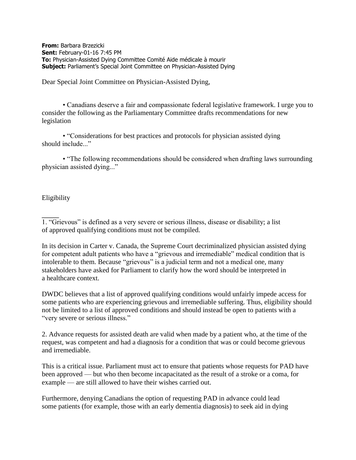**From:** Barbara Brzezicki **Sent:** February-01-16 7:45 PM **To:** Physician-Assisted Dying Committee Comité Aide médicale à mourir **Subject:** Parliament's Special Joint Committee on Physician-Assisted Dying

Dear Special Joint Committee on Physician-Assisted Dying,

• Canadians deserve a fair and compassionate federal legislative framework. I urge you to consider the following as the Parliamentary Committee drafts recommendations for new legislation

• "Considerations for best practices and protocols for physician assisted dying should include..."

• "The following recommendations should be considered when drafting laws surrounding physician assisted dying..."

Eligibility

1. "Grievous" is defined as a very severe or serious illness, disease or disability; a list of approved qualifying conditions must not be compiled.

In its decision in Carter v. Canada, the Supreme Court decriminalized physician assisted dying for competent adult patients who have a "grievous and irremediable" medical condition that is intolerable to them. Because "grievous" is a judicial term and not a medical one, many stakeholders have asked for Parliament to clarify how the word should be interpreted in a healthcare context.

DWDC believes that a list of approved qualifying conditions would unfairly impede access for some patients who are experiencing grievous and irremediable suffering. Thus, eligibility should not be limited to a list of approved conditions and should instead be open to patients with a "very severe or serious illness."

2. Advance requests for assisted death are valid when made by a patient who, at the time of the request, was competent and had a diagnosis for a condition that was or could become grievous and irremediable.

This is a critical issue. Parliament must act to ensure that patients whose requests for PAD have been approved — but who then become incapacitated as the result of a stroke or a coma, for example — are still allowed to have their wishes carried out.

Furthermore, denying Canadians the option of requesting PAD in advance could lead some patients (for example, those with an early dementia diagnosis) to seek aid in dying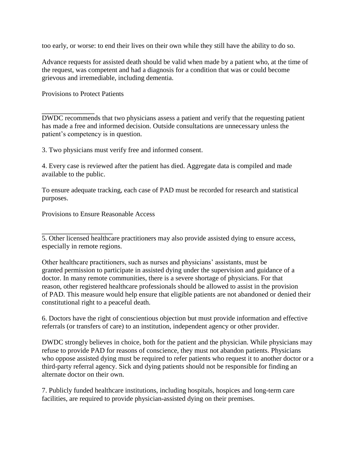too early, or worse: to end their lives on their own while they still have the ability to do so.

Advance requests for assisted death should be valid when made by a patient who, at the time of the request, was competent and had a diagnosis for a condition that was or could become grievous and irremediable, including dementia.

Provisions to Protect Patients

DWDC recommends that two physicians assess a patient and verify that the requesting patient has made a free and informed decision. Outside consultations are unnecessary unless the patient's competency is in question.

3. Two physicians must verify free and informed consent.

4. Every case is reviewed after the patient has died. Aggregate data is compiled and made available to the public.

To ensure adequate tracking, each case of PAD must be recorded for research and statistical purposes.

Provisions to Ensure Reasonable Access

5. Other licensed healthcare practitioners may also provide assisted dying to ensure access, especially in remote regions.

Other healthcare practitioners, such as nurses and physicians' assistants, must be granted permission to participate in assisted dying under the supervision and guidance of a doctor. In many remote communities, there is a severe shortage of physicians. For that reason, other registered healthcare professionals should be allowed to assist in the provision of PAD. This measure would help ensure that eligible patients are not abandoned or denied their constitutional right to a peaceful death.

6. Doctors have the right of conscientious objection but must provide information and effective referrals (or transfers of care) to an institution, independent agency or other provider.

DWDC strongly believes in choice, both for the patient and the physician. While physicians may refuse to provide PAD for reasons of conscience, they must not abandon patients. Physicians who oppose assisted dying must be required to refer patients who request it to another doctor or a third-party referral agency. Sick and dying patients should not be responsible for finding an alternate doctor on their own.

7. Publicly funded healthcare institutions, including hospitals, hospices and long-term care facilities, are required to provide physician-assisted dying on their premises.